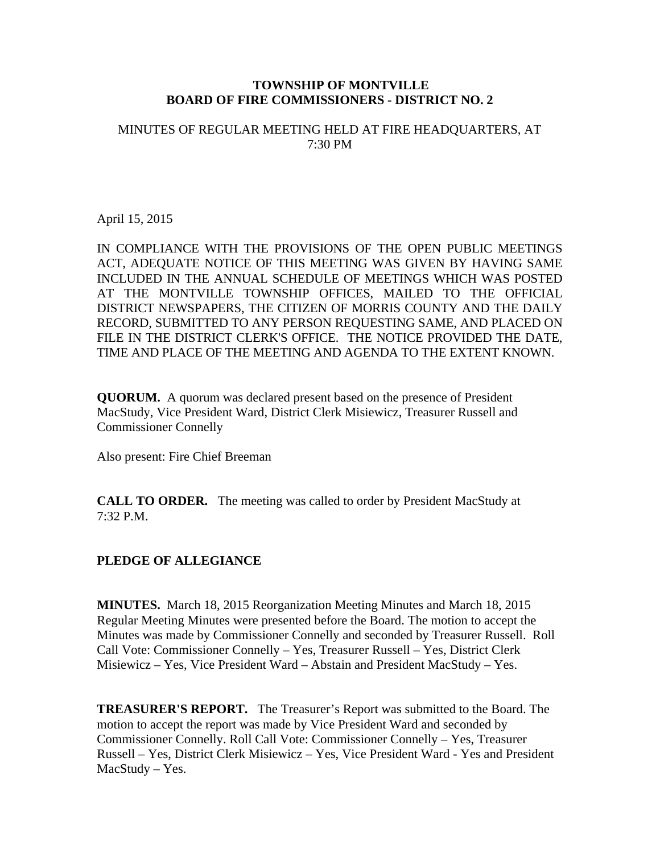### **TOWNSHIP OF MONTVILLE BOARD OF FIRE COMMISSIONERS - DISTRICT NO. 2**

## MINUTES OF REGULAR MEETING HELD AT FIRE HEADQUARTERS, AT 7:30 PM

April 15, 2015

IN COMPLIANCE WITH THE PROVISIONS OF THE OPEN PUBLIC MEETINGS ACT, ADEQUATE NOTICE OF THIS MEETING WAS GIVEN BY HAVING SAME INCLUDED IN THE ANNUAL SCHEDULE OF MEETINGS WHICH WAS POSTED AT THE MONTVILLE TOWNSHIP OFFICES, MAILED TO THE OFFICIAL DISTRICT NEWSPAPERS, THE CITIZEN OF MORRIS COUNTY AND THE DAILY RECORD, SUBMITTED TO ANY PERSON REQUESTING SAME, AND PLACED ON FILE IN THE DISTRICT CLERK'S OFFICE. THE NOTICE PROVIDED THE DATE, TIME AND PLACE OF THE MEETING AND AGENDA TO THE EXTENT KNOWN.

**QUORUM.** A quorum was declared present based on the presence of President MacStudy, Vice President Ward, District Clerk Misiewicz, Treasurer Russell and Commissioner Connelly

Also present: Fire Chief Breeman

**CALL TO ORDER.** The meeting was called to order by President MacStudy at 7:32 P.M.

# **PLEDGE OF ALLEGIANCE**

**MINUTES.** March 18, 2015 Reorganization Meeting Minutes and March 18, 2015 Regular Meeting Minutes were presented before the Board. The motion to accept the Minutes was made by Commissioner Connelly and seconded by Treasurer Russell. Roll Call Vote: Commissioner Connelly – Yes, Treasurer Russell – Yes, District Clerk Misiewicz – Yes, Vice President Ward – Abstain and President MacStudy – Yes.

**TREASURER'S REPORT.** The Treasurer's Report was submitted to the Board. The motion to accept the report was made by Vice President Ward and seconded by Commissioner Connelly. Roll Call Vote: Commissioner Connelly – Yes, Treasurer Russell – Yes, District Clerk Misiewicz – Yes, Vice President Ward - Yes and President MacStudy – Yes.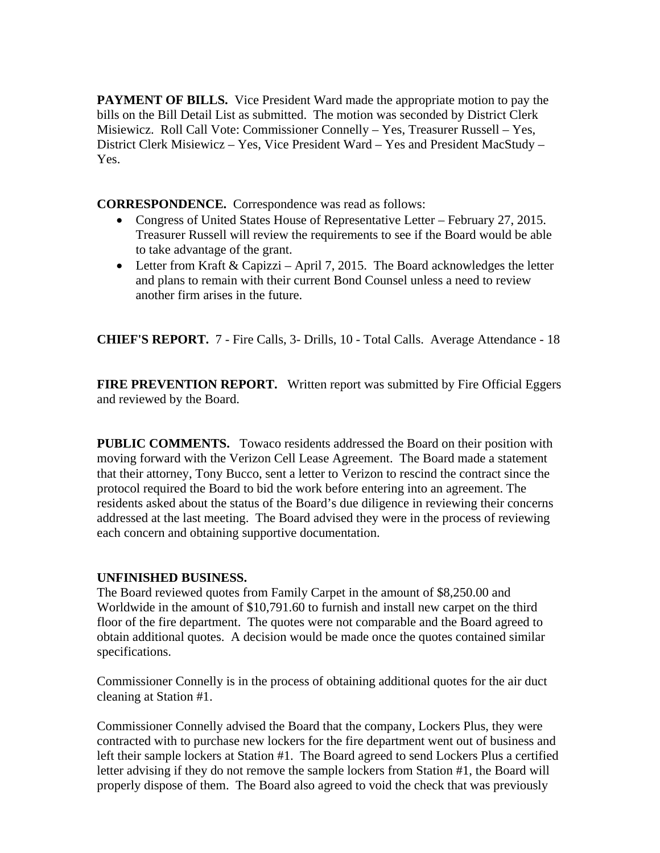**PAYMENT OF BILLS.** Vice President Ward made the appropriate motion to pay the bills on the Bill Detail List as submitted. The motion was seconded by District Clerk Misiewicz. Roll Call Vote: Commissioner Connelly – Yes, Treasurer Russell – Yes, District Clerk Misiewicz – Yes, Vice President Ward – Yes and President MacStudy – Yes.

**CORRESPONDENCE.** Correspondence was read as follows:

- Congress of United States House of Representative Letter February 27, 2015. Treasurer Russell will review the requirements to see if the Board would be able to take advantage of the grant.
- Letter from Kraft & Capizzi April 7, 2015. The Board acknowledges the letter and plans to remain with their current Bond Counsel unless a need to review another firm arises in the future.

**CHIEF'S REPORT.** 7 - Fire Calls, 3- Drills, 10 - Total Calls. Average Attendance - 18

**FIRE PREVENTION REPORT.** Written report was submitted by Fire Official Eggers and reviewed by the Board.

**PUBLIC COMMENTS.** Towaco residents addressed the Board on their position with moving forward with the Verizon Cell Lease Agreement. The Board made a statement that their attorney, Tony Bucco, sent a letter to Verizon to rescind the contract since the protocol required the Board to bid the work before entering into an agreement. The residents asked about the status of the Board's due diligence in reviewing their concerns addressed at the last meeting. The Board advised they were in the process of reviewing each concern and obtaining supportive documentation.

# **UNFINISHED BUSINESS.**

The Board reviewed quotes from Family Carpet in the amount of \$8,250.00 and Worldwide in the amount of \$10,791.60 to furnish and install new carpet on the third floor of the fire department. The quotes were not comparable and the Board agreed to obtain additional quotes. A decision would be made once the quotes contained similar specifications.

Commissioner Connelly is in the process of obtaining additional quotes for the air duct cleaning at Station #1.

Commissioner Connelly advised the Board that the company, Lockers Plus, they were contracted with to purchase new lockers for the fire department went out of business and left their sample lockers at Station #1. The Board agreed to send Lockers Plus a certified letter advising if they do not remove the sample lockers from Station #1, the Board will properly dispose of them. The Board also agreed to void the check that was previously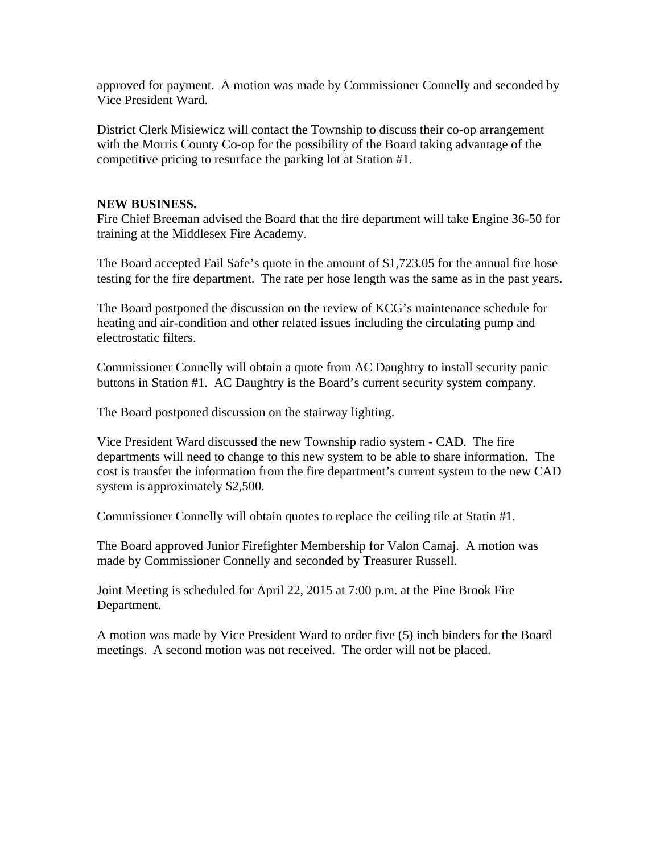approved for payment. A motion was made by Commissioner Connelly and seconded by Vice President Ward.

District Clerk Misiewicz will contact the Township to discuss their co-op arrangement with the Morris County Co-op for the possibility of the Board taking advantage of the competitive pricing to resurface the parking lot at Station #1.

## **NEW BUSINESS.**

Fire Chief Breeman advised the Board that the fire department will take Engine 36-50 for training at the Middlesex Fire Academy.

The Board accepted Fail Safe's quote in the amount of \$1,723.05 for the annual fire hose testing for the fire department. The rate per hose length was the same as in the past years.

The Board postponed the discussion on the review of KCG's maintenance schedule for heating and air-condition and other related issues including the circulating pump and electrostatic filters.

Commissioner Connelly will obtain a quote from AC Daughtry to install security panic buttons in Station #1. AC Daughtry is the Board's current security system company.

The Board postponed discussion on the stairway lighting.

Vice President Ward discussed the new Township radio system - CAD. The fire departments will need to change to this new system to be able to share information. The cost is transfer the information from the fire department's current system to the new CAD system is approximately \$2,500.

Commissioner Connelly will obtain quotes to replace the ceiling tile at Statin #1.

The Board approved Junior Firefighter Membership for Valon Camaj. A motion was made by Commissioner Connelly and seconded by Treasurer Russell.

Joint Meeting is scheduled for April 22, 2015 at 7:00 p.m. at the Pine Brook Fire Department.

A motion was made by Vice President Ward to order five (5) inch binders for the Board meetings. A second motion was not received. The order will not be placed.